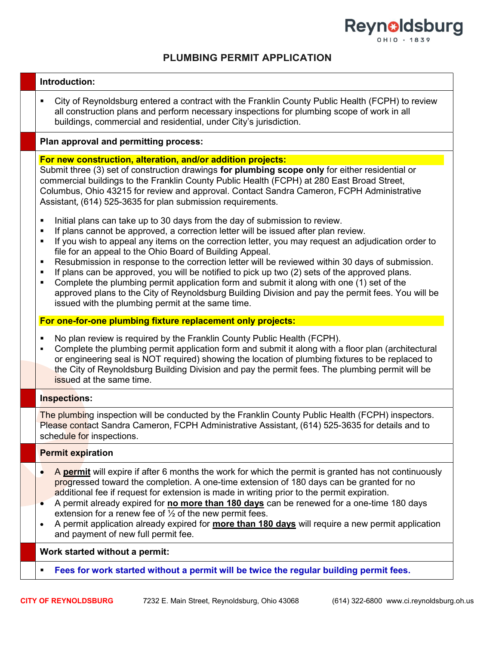

# PLUMBING PERMIT APPLICATION

#### Introduction:

 City of Reynoldsburg entered a contract with the Franklin County Public Health (FCPH) to review all construction plans and perform necessary inspections for plumbing scope of work in all buildings, commercial and residential, under City's jurisdiction.

#### Plan approval and permitting process:

#### For new construction, alteration, and/or addition projects:

Submit three (3) set of construction drawings for plumbing scope only for either residential or commercial buildings to the Franklin County Public Health (FCPH) at 280 East Broad Street, Columbus, Ohio 43215 for review and approval. Contact Sandra Cameron, FCPH Administrative Assistant, (614) 525-3635 for plan submission requirements.

- Initial plans can take up to 30 days from the day of submission to review.
- **If plans cannot be approved, a correction letter will be issued after plan review.**
- If you wish to appeal any items on the correction letter, you may request an adjudication order to file for an appeal to the Ohio Board of Building Appeal.
- Resubmission in response to the correction letter will be reviewed within 30 days of submission.
- If plans can be approved, you will be notified to pick up two (2) sets of the approved plans.
- Complete the plumbing permit application form and submit it along with one (1) set of the approved plans to the City of Reynoldsburg Building Division and pay the permit fees. You will be issued with the plumbing permit at the same time.

#### For one-for-one plumbing fixture replacement only projects:

- No plan review is required by the Franklin County Public Health (FCPH).
- Complete the plumbing permit application form and submit it along with a floor plan (architectural or engineering seal is NOT required) showing the location of plumbing fixtures to be replaced to the City of Reynoldsburg Building Division and pay the permit fees. The plumbing permit will be issued at the same time.

# Inspections:

The plumbing inspection will be conducted by the Franklin County Public Health (FCPH) inspectors. Please contact Sandra Cameron, FCPH Administrative Assistant, (614) 525-3635 for details and to schedule for inspections.

# Permit expiration

- A **permit** will expire if after 6 months the work for which the permit is granted has not continuously progressed toward the completion. A one-time extension of 180 days can be granted for no additional fee if request for extension is made in writing prior to the permit expiration.
- A permit already expired for no more than 180 days can be renewed for a one-time 180 days extension for a renew fee of  $\frac{1}{2}$  of the new permit fees.
- A permit application already expired for **more than 180 days** will require a new permit application and payment of new full permit fee.

# Work started without a permit:

Fees for work started without a permit will be twice the regular building permit fees.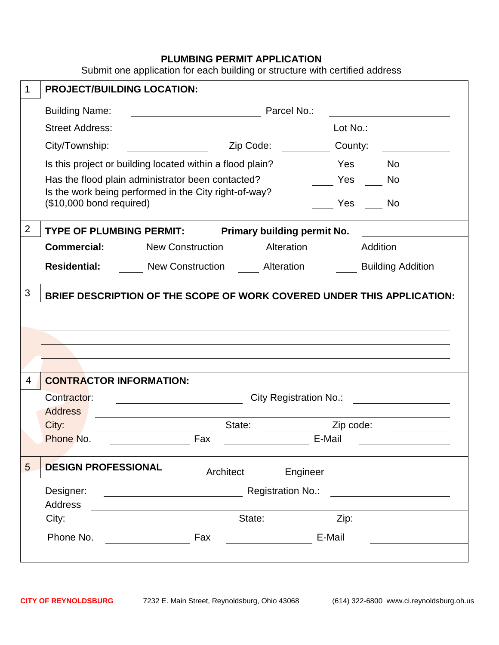# **PLUMBING PERMIT APPLICATION**

Submit one application for each building or structure with certified address

| 1              |                                | <b>PROJECT/BUILDING LOCATION:</b>                                                                                   |                    |                               |                          |  |  |  |  |
|----------------|--------------------------------|---------------------------------------------------------------------------------------------------------------------|--------------------|-------------------------------|--------------------------|--|--|--|--|
|                | <b>Building Name:</b>          | <b>Marcel No.:</b> Parcel No.:                                                                                      |                    |                               |                          |  |  |  |  |
|                | <b>Street Address:</b>         | <u> 1989 - Johann Barn, mars eta bainar eta baina eta baina eta baina eta baina eta baina eta baina eta baina e</u> |                    | Lot No.:                      |                          |  |  |  |  |
|                | City/Township:                 |                                                                                                                     | Zip Code:          | County:                       |                          |  |  |  |  |
|                |                                | Is this project or building located within a flood plain?                                                           |                    | Yes                           | <b>No</b>                |  |  |  |  |
|                |                                | Has the flood plain administrator been contacted?                                                                   |                    | <b>Sand Stringer Stringer</b> | No                       |  |  |  |  |
|                | (\$10,000 bond required)       | Is the work being performed in the City right-of-way?                                                               |                    | Yes                           | <b>No</b>                |  |  |  |  |
| $\overline{2}$ |                                | TYPE OF PLUMBING PERMIT: Primary building permit No.                                                                |                    |                               |                          |  |  |  |  |
|                |                                | <b>Commercial:</b> New Construction Alteration Alternation Medition                                                 |                    |                               |                          |  |  |  |  |
|                |                                | <b>Residential:</b> New Construction Alteration                                                                     |                    |                               | <b>Building Addition</b> |  |  |  |  |
| 3              |                                | BRIEF DESCRIPTION OF THE SCOPE OF WORK COVERED UNDER THIS APPLICATION:                                              |                    |                               |                          |  |  |  |  |
|                |                                |                                                                                                                     |                    |                               |                          |  |  |  |  |
|                |                                |                                                                                                                     |                    |                               |                          |  |  |  |  |
|                |                                |                                                                                                                     |                    |                               |                          |  |  |  |  |
|                |                                |                                                                                                                     |                    |                               |                          |  |  |  |  |
| 4              | <b>CONTRACTOR INFORMATION:</b> |                                                                                                                     |                    |                               |                          |  |  |  |  |
|                | <b>Address</b>                 | Contractor:<br>City Registration No.: <u>2008 - 2009</u><br><u> 1990 - Johann Barbara, martin a</u>                 |                    |                               |                          |  |  |  |  |
|                | City:                          |                                                                                                                     | State:             | Zip code:                     |                          |  |  |  |  |
|                | Phone No.                      | Fax                                                                                                                 |                    | E-Mail                        |                          |  |  |  |  |
| 5              | <b>DESIGN PROFESSIONAL</b>     |                                                                                                                     | Architect Engineer |                               |                          |  |  |  |  |
|                |                                |                                                                                                                     |                    |                               |                          |  |  |  |  |
|                | Address                        | <u> 1989 - Johann Stein, mars an deus Amerikaansk kommunister (</u>                                                 |                    |                               |                          |  |  |  |  |
|                | City:                          |                                                                                                                     |                    |                               |                          |  |  |  |  |
|                |                                |                                                                                                                     | <b>E-Mail</b>      |                               |                          |  |  |  |  |
|                |                                |                                                                                                                     |                    |                               |                          |  |  |  |  |